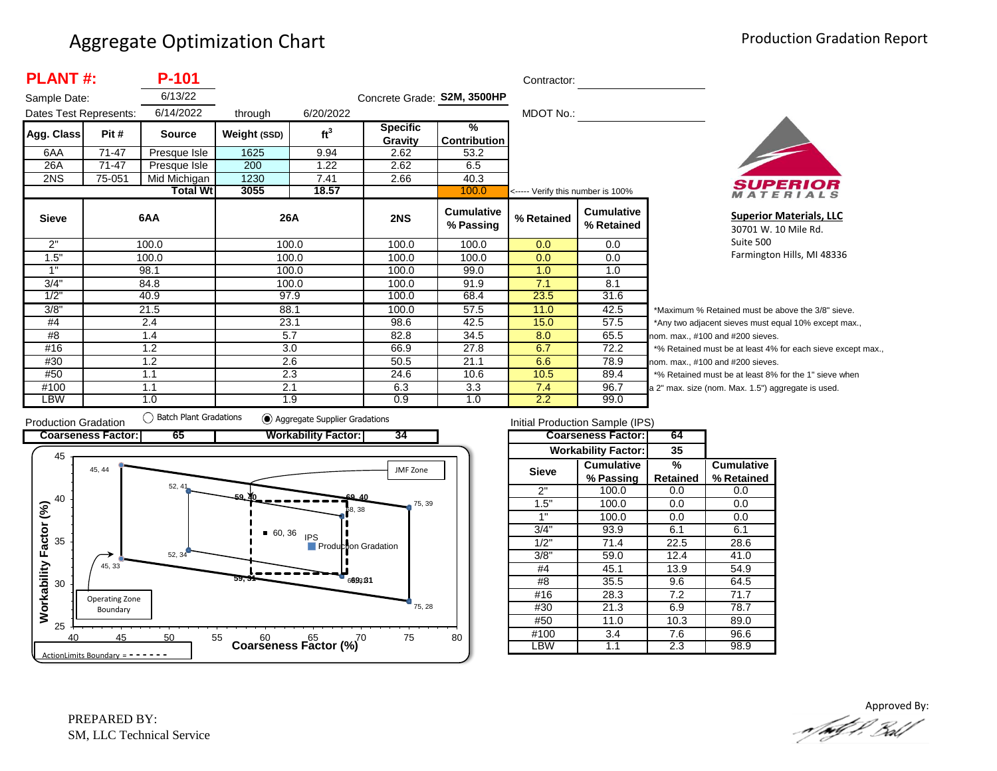| <b>PLANT#:</b><br>P-101 |                                     |                 |              |                 |                             | Contractor:                    |                                   |                                 |                  |
|-------------------------|-------------------------------------|-----------------|--------------|-----------------|-----------------------------|--------------------------------|-----------------------------------|---------------------------------|------------------|
| Sample Date:            |                                     | 6/13/22         |              |                 | Concrete Grade: S2M, 3500HP |                                |                                   |                                 |                  |
|                         | 6/14/2022<br>Dates Test Represents: |                 | through      | 6/20/2022       |                             |                                | MDOT No.:                         |                                 |                  |
| Agg. Class              | Pit #                               | <b>Source</b>   | Weight (SSD) | ft <sup>3</sup> | <b>Specific</b><br>Gravity  | ℅<br><b>Contribution</b>       |                                   |                                 |                  |
| 6AA                     | 71-47                               | Presque Isle    | 1625         | 9.94            | 2.62                        | 53.2                           |                                   |                                 |                  |
| 26A                     | 71-47                               | Presque Isle    | 200          | 1.22            | 2.62                        | 6.5                            |                                   |                                 |                  |
| 2NS                     | 75-051                              | Mid Michigan    | 1230         | 7.41            | 2.66                        | 40.3                           |                                   |                                 |                  |
|                         |                                     | <b>Total Wt</b> | 3055         | 18.57           |                             | 100.0                          | <----- Verify this number is 100% |                                 |                  |
| <b>Sieve</b>            |                                     | 6AA             | 26A          |                 | 2NS                         | <b>Cumulative</b><br>% Passing | % Retained                        | <b>Cumulative</b><br>% Retained |                  |
| 2"                      |                                     | 100.0           |              | 100.0           | 100.0                       | 100.0                          | 0.0                               | $0.0\,$                         |                  |
| 1.5"                    |                                     | 100.0           |              | 100.0           | 100.0                       | 100.0                          | 0.0                               | 0.0                             |                  |
| 1"                      |                                     | 98.1            |              | 100.0           | 100.0                       | 99.0                           | 1.0                               | 1.0                             |                  |
| 3/4"                    |                                     | 84.8            |              | 100.0           | 100.0                       | 91.9                           | 7.1                               | 8.1                             |                  |
| 1/2"                    |                                     | 40.9            |              | 97.9            | 100.0                       | 68.4                           | 23.5                              | 31.6                            |                  |
| 3/8"                    |                                     | 21.5            | 88.1         |                 | 100.0                       | 57.5                           | 11.0                              | 42.5                            | *۱               |
| #4                      |                                     | 2.4             | 23.1         |                 | 98.6                        | 42.5                           | 15.0                              | 57.5                            | */               |
| #8                      |                                     | 1.4             |              | 5.7             | 82.8                        | 34.5                           | 8.0                               | 65.5                            | nor              |
| #16                     | 1.2                                 |                 | 3.0          |                 | 66.9                        | 27.8                           | 6.7                               | 72.2                            | $*$ <sup>o</sup> |
| #30                     |                                     | 1.2             |              | 2.6             | 50.5                        | 21.1                           | 6.6                               | 78.9                            | nor              |
| #50                     |                                     | 1.1             |              | 2.3             | 24.6                        | 10.6                           | 10.5                              | 89.4                            | $*$ <sup>o</sup> |
| #100                    |                                     | 1.1             | 2.1          |                 | 6.3                         | 3.3                            | 7.4                               | 96.7                            | a <sub>2</sub>   |
| LBW                     |                                     | 1.0             |              | 1.9             | 0.9                         | 1.0                            | 2.2                               | 99.0                            |                  |



**Superior Materials, LLC** 30701 W. 10 Mile Rd. Suite 500 Farmington Hills, MI 48336

Maximum % Retained must be above the 3/8" sieve. Any two adjacent sieves must equal 10% except max., m. max., #100 and #200 sieves. % Retained must be at least 4% for each sieve except max., m. max., #100 and #200 sieves. % Retained must be at least 8% for the 1" sieve when <sup>2"</sup> max. size (nom. Max. 1.5") aggregate is used.



|              | Initial Production Sample (IPS) |          |                   |
|--------------|---------------------------------|----------|-------------------|
|              | <b>Coarseness Factor:</b>       | 64       |                   |
|              | <b>Workability Factor:</b>      | 35       |                   |
| <b>Sieve</b> | <b>Cumulative</b>               | %        | <b>Cumulative</b> |
|              | % Passing                       | Retained | % Retained        |
| 2"           | 100.0                           | 0.0      | 0.0               |
| 1.5"         | 100.0                           | 0.0      | 0.0               |
| 1"           | 100.0                           | 0.0      | 0.0               |
| 3/4"         | 93.9                            | 6.1      | 6.1               |
| 1/2"         | 71.4                            | 22.5     | 28.6              |
| 3/8"         | 59.0                            | 12.4     | 41.0              |
| #4           | 45.1                            | 13.9     | 54.9              |
| #8           | 35.5                            | 9.6      | 64.5              |
| #16          | 28.3                            | 7.2      | 71.7              |
| #30          | 21.3                            | 6.9      | 78.7              |
| #50          | 11.0                            |          | 89.0              |
| #100         | 3.4                             |          | 96.6              |
| .BW          | 1.1                             | 2.3      | 98.9              |

Approved By:a fødf f. Bolf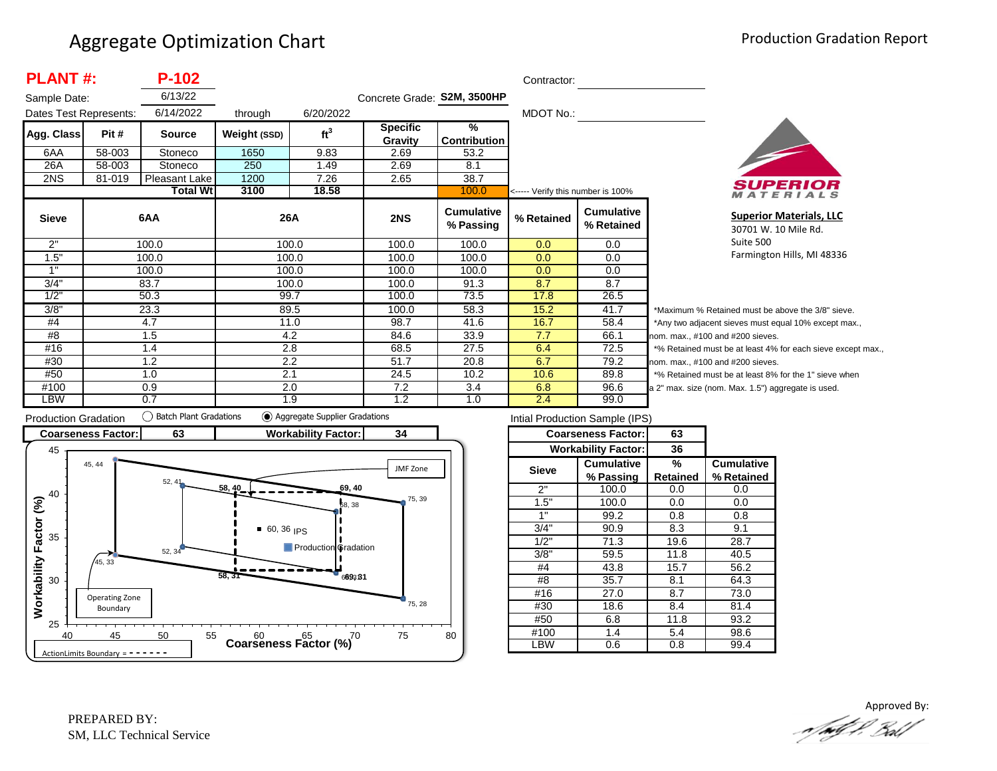| <b>PLANT#:</b><br>P-102 |        |                 |              |                 |                             | Contractor:                          |                                   |                                 |            |     |  |
|-------------------------|--------|-----------------|--------------|-----------------|-----------------------------|--------------------------------------|-----------------------------------|---------------------------------|------------|-----|--|
| Sample Date:            |        | 6/13/22         |              |                 | Concrete Grade: S2M, 3500HP |                                      |                                   |                                 |            |     |  |
| Dates Test Represents:  |        | 6/14/2022       | through      | 6/20/2022       |                             |                                      | MDOT No.:                         |                                 |            |     |  |
| Agg. Class              | Pit#   | <b>Source</b>   | Weight (SSD) | ft <sup>3</sup> | <b>Specific</b><br>Gravity  | $\frac{9}{6}$<br><b>Contribution</b> |                                   |                                 |            |     |  |
| 6AA                     | 58-003 | Stoneco         | 1650         | 9.83            | 2.69                        | 53.2                                 |                                   |                                 |            |     |  |
| 26A                     | 58-003 | Stoneco         | 250          | 1.49            | 2.69                        | 8.1                                  |                                   |                                 |            |     |  |
| 2NS                     | 81-019 | Pleasant Lake   | 1200         | 7.26            | 2.65                        | 38.7                                 |                                   |                                 |            |     |  |
|                         |        | <b>Total Wt</b> | 3100         | 18.58           |                             | 100.0                                | <----- Verify this number is 100% |                                 |            |     |  |
| <b>Sieve</b>            |        | 6AA             | 26A          |                 | 2NS                         | <b>Cumulative</b><br>% Passing       | % Retained                        | <b>Cumulative</b><br>% Retained |            |     |  |
| 2"                      |        | 100.0           | 100.0        |                 | 100.0                       | 100.0                                | 0.0                               | 0.0                             |            |     |  |
| 1.5"                    |        | 100.0           |              | 100.0           | 100.0                       | 100.0                                | 0.0                               | 0.0                             |            |     |  |
| 1"                      |        | 100.0           |              | 100.0           | 100.0                       | 100.0                                | 0.0                               | 0.0                             |            |     |  |
| 3/4"                    |        | 83.7            | 100.0        |                 |                             |                                      | 100.0                             | 91.3                            | 8.7        | 8.7 |  |
| 1/2"                    |        | 50.3            | 99.7         |                 | 100.0                       | 73.5                                 | 17.8                              | 26.5                            |            |     |  |
| 3/8"                    |        | 23.3            | 89.5         |                 | 100.0                       | 58.3                                 | 15.2                              | 41.7                            | *1         |     |  |
| #4                      |        | 4.7             | 11.0         |                 | 98.7                        | 41.6                                 | 16.7                              | 58.4                            | $^{\star}$ |     |  |
| #8                      |        | 1.5             | 4.2          |                 | 84.6                        | 33.9                                 | 7.7                               | 66.1                            | nor        |     |  |
| #16                     |        | 1.4             | 2.8          |                 | 68.5                        | 27.5                                 | 6.4                               | 72.5                            | $*c$       |     |  |
| #30                     |        | 1.2             | 2.2          |                 | 51.7                        | 20.8                                 | 6.7                               | 79.2                            | nor        |     |  |
| #50                     |        | 1.0             | 2.1          |                 | 24.5                        | 10.2                                 | 10.6                              | 89.8                            | $*c$       |     |  |
| #100                    |        | 0.9             | 2.0          |                 | 7.2                         | 3.4                                  | 6.8                               | 96.6                            | a 2        |     |  |
| LBW                     |        | 0.7             | 1.9          |                 | 1.2                         | 1.0                                  | 2.4                               | 99.0                            |            |     |  |



**Superior Materials, LLC** 30701 W. 10 Mile Rd. Suite 500 Farmington Hills, MI 48336

Maximum % Retained must be above the 3/8" sieve. Any two adjacent sieves must equal 10% except max.,  $m.$  max.,  $#100$  and  $#200$  sieves. % Retained must be at least 4% for each sieve except max.,  $km.$  max.,  $#100$  and  $#200$  sieves. % Retained must be at least 8% for the 1" sieve when 2" max. size (nom. Max. 1.5") aggregate is used.



| Intial Production Sample (IPS) |                            |                 |                   |  |  |  |  |  |
|--------------------------------|----------------------------|-----------------|-------------------|--|--|--|--|--|
|                                | <b>Coarseness Factor:</b>  | 63              |                   |  |  |  |  |  |
|                                | <b>Workability Factor:</b> | 36              |                   |  |  |  |  |  |
| <b>Sieve</b>                   | Cumulative                 | %               | <b>Cumulative</b> |  |  |  |  |  |
|                                | % Passing                  | <b>Retained</b> | % Retained        |  |  |  |  |  |
| 2"                             | 100.0                      | 0.0             | 0.0               |  |  |  |  |  |
| 1.5"                           | 100.0                      | 0.0             | 0.0               |  |  |  |  |  |
| 1"                             | 99.2                       | 0.8             | 0.8               |  |  |  |  |  |
| 3/4"                           | 90.9                       | 8.3             | 9.1               |  |  |  |  |  |
| 1/2"                           | 71.3                       | 19.6            | 28.7              |  |  |  |  |  |
| 3/8"                           | 59.5                       | 11.8            | 40.5              |  |  |  |  |  |
| #4                             | 43.8                       | 15.7            | 56.2              |  |  |  |  |  |
| #8                             | 35.7                       | 8.1             | 64.3              |  |  |  |  |  |
| #16                            | 27.0                       | 8.7             | 73.0              |  |  |  |  |  |
| #30                            | 18.6                       | 8.4             | 81.4              |  |  |  |  |  |
| #50                            | 6.8                        |                 | 93.2              |  |  |  |  |  |
| #100                           | 1.4                        |                 | 98.6              |  |  |  |  |  |
| _BW                            | 0.6                        | 0.8             | 99.4              |  |  |  |  |  |

Approved By:<br>Approved By: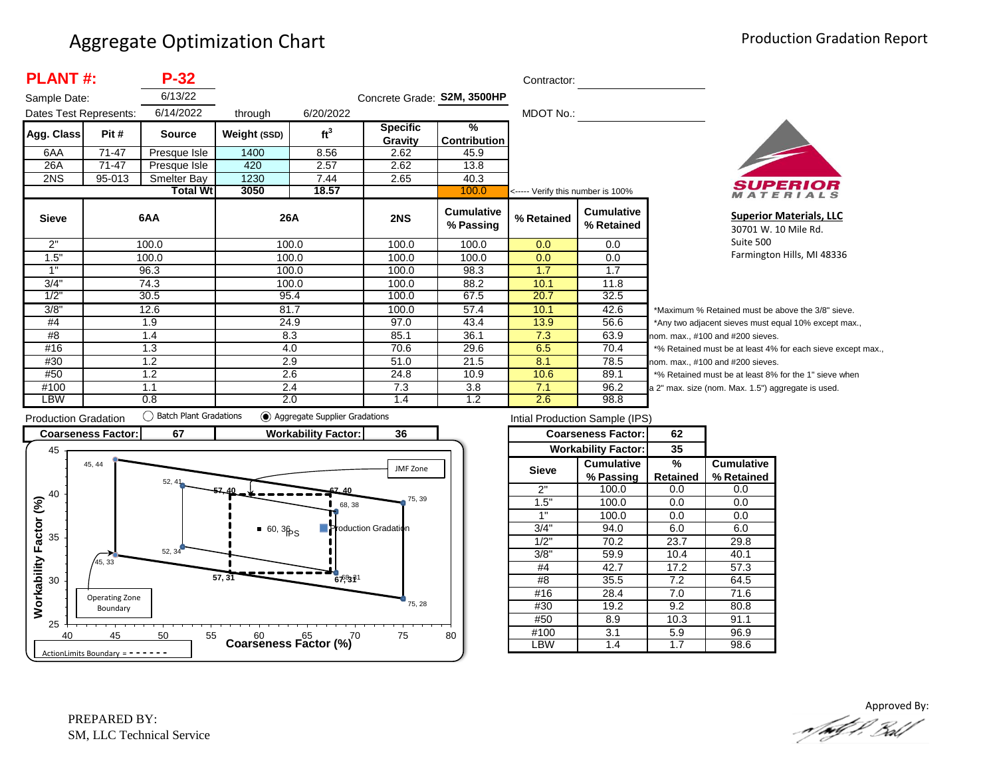| <b>PLANT#:</b><br>$P-32$ |           |                 |              |                 |                             | Contractor:                          |                                   |                                 |          |
|--------------------------|-----------|-----------------|--------------|-----------------|-----------------------------|--------------------------------------|-----------------------------------|---------------------------------|----------|
| Sample Date:             |           | 6/13/22         |              |                 | Concrete Grade: S2M, 3500HP |                                      |                                   |                                 |          |
| Dates Test Represents:   |           | 6/14/2022       | through      | 6/20/2022       |                             |                                      | MDOT No.:                         |                                 |          |
| Agg. Class               | Pit #     | <b>Source</b>   | Weight (SSD) | ft <sup>3</sup> | <b>Specific</b><br>Gravity  | $\frac{9}{6}$<br><b>Contribution</b> |                                   |                                 |          |
| 6AA                      | $71 - 47$ | Presque Isle    | 1400         | 8.56            | 2.62                        | 45.9                                 |                                   |                                 |          |
| 26A                      | 71-47     | Presque Isle    | 420          | 2.57            | 2.62                        | 13.8                                 |                                   |                                 |          |
| 2NS                      | 95-013    | Smelter Bay     | 1230         | 7.44            | 2.65                        | 40.3                                 |                                   |                                 |          |
|                          |           | <b>Total Wt</b> | 3050         | 18.57           |                             | 100.0                                | <----- Verify this number is 100% |                                 |          |
| <b>Sieve</b>             |           | 6AA             | 26A          |                 | 2NS                         | <b>Cumulative</b><br>% Passing       | % Retained                        | <b>Cumulative</b><br>% Retained |          |
| 2"                       |           | 100.0           |              | 100.0           | 100.0                       | 100.0                                | 0.0                               | 0.0                             |          |
| 1.5"                     |           | 100.0           |              | 100.0           | 100.0                       | 100.0                                | 0.0                               | 0.0                             |          |
| 1"                       |           | 96.3            |              | 100.0           | 100.0                       | 98.3                                 | 1.7                               | 1.7                             |          |
| 3/4"                     |           | 74.3            |              | 100.0           | 100.0                       | 88.2                                 | 10.1                              | 11.8                            |          |
| 1/2"                     |           | 30.5            |              | 95.4            | 100.0                       | 67.5                                 | 20.7                              | 32.5                            |          |
| 3/8"                     |           | 12.6            |              | 81.7            | 100.0                       | 57.4                                 | 10.1                              | 42.6                            | $^\star$ |
| #4                       |           | 1.9             |              | 24.9            | 97.0                        | 43.4                                 | 13.9                              | 56.6                            | $\star$  |
| #8                       |           | 1.4             | 8.3          |                 | 85.1                        | 36.1                                 | 7.3                               | 63.9                            | no       |
| #16                      |           | 1.3             | 4.0          |                 | 70.6                        | 29.6                                 | 6.5                               | 70.4                            | $\star$  |
| #30                      |           | 1.2             | 2.9          |                 | 51.0                        | 21.5                                 | 8.1                               | 78.5                            | no       |
| #50                      |           | 1.2             |              | 2.6             | 24.8                        | 10.9                                 | 10.6                              | 89.1                            |          |
| #100                     |           | 1.1             |              | 2.4             | 7.3                         | 3.8                                  | 7.1                               | 96.2                            | la 2     |
| LBW                      |           | 0.8             | 2.0          |                 | 1.4                         | 1.2                                  | 2.6                               | 98.8                            |          |



**Superior Materials, LLC** 30701 W. 10 Mile Rd. Suite 500 Farmington Hills, MI 48336

Maximum % Retained must be above the 3/8" sieve. Any two adjacent sieves must equal 10% except max.,  $m.$  max.,  $#100$  and  $#200$  sieves. % Retained must be at least 4% for each sieve except max.,  $km.$  max.,  $#100$  and  $#200$  sieves. % Retained must be at least 8% for the 1" sieve when 2" max. size (nom. Max. 1.5") aggregate is used.



| Intial Production Sample (IPS) |                            |          |                   |  |  |  |  |  |
|--------------------------------|----------------------------|----------|-------------------|--|--|--|--|--|
|                                | <b>Coarseness Factor:</b>  | 62       |                   |  |  |  |  |  |
|                                | <b>Workability Factor:</b> | 35       |                   |  |  |  |  |  |
| <b>Sieve</b>                   | <b>Cumulative</b>          | %        | <b>Cumulative</b> |  |  |  |  |  |
|                                | % Passing                  | Retained | % Retained        |  |  |  |  |  |
| 2"                             | 100.0                      | 0.0      | 0.0               |  |  |  |  |  |
| 1.5"                           | 100.0                      | 0.0      | 0.0               |  |  |  |  |  |
| 1"                             | 100.0                      | 0.0      | 0.0               |  |  |  |  |  |
| 3/4"                           | 94.0                       | 6.0      | 6.0               |  |  |  |  |  |
| 1/2"                           | 70.2                       | 23.7     | 29.8              |  |  |  |  |  |
| 3/8"                           | 59.9                       | 10.4     | 40.1              |  |  |  |  |  |
| #4                             | 42.7                       | 17.2     | 57.3              |  |  |  |  |  |
| #8                             | 35.5                       | 7.2      | 64.5              |  |  |  |  |  |
| #16                            | 28.4                       | 7.0      | 71.6              |  |  |  |  |  |
| #30                            | 19.2                       | 9.2      | 80.8              |  |  |  |  |  |
| #50                            | 8.9                        |          | 91.1              |  |  |  |  |  |
| #100                           | 3.1                        |          | 96.9              |  |  |  |  |  |
| LBW                            | 1.4                        | 1.7      | 98.6              |  |  |  |  |  |
|                                |                            |          |                   |  |  |  |  |  |

Approved By:<br>Approved By: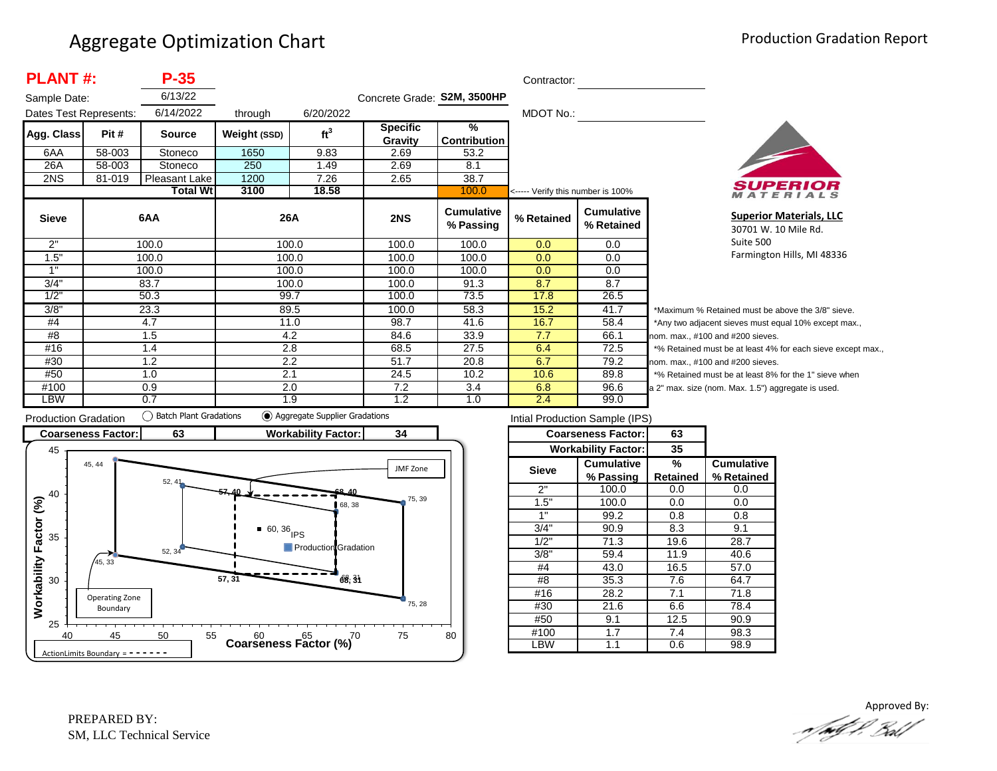| <b>PLANT#:</b><br>$P-35$ |        |                 |              |                 |                             | Contractor:                    |                                   |                                 |                  |  |
|--------------------------|--------|-----------------|--------------|-----------------|-----------------------------|--------------------------------|-----------------------------------|---------------------------------|------------------|--|
| Sample Date:             |        | 6/13/22         |              |                 | Concrete Grade: S2M, 3500HP |                                |                                   |                                 |                  |  |
| Dates Test Represents:   |        | 6/14/2022       | through      | 6/20/2022       |                             |                                | MDOT No.:                         |                                 |                  |  |
| Agg. Class               | Pit #  | <b>Source</b>   | Weight (SSD) | ft <sup>3</sup> | <b>Specific</b><br>Gravity  | %<br>Contribution              |                                   |                                 |                  |  |
| 6AA                      | 58-003 | Stoneco         | 1650         | 9.83            | 2.69                        | 53.2                           |                                   |                                 |                  |  |
| 26A                      | 58-003 | Stoneco         | 250          | 1.49            | 2.69                        | 8.1                            |                                   |                                 |                  |  |
| 2NS                      | 81-019 | Pleasant Lake   | 1200         | 7.26            | 2.65                        | 38.7                           |                                   |                                 |                  |  |
|                          |        | <b>Total Wt</b> | 3100         | 18.58           |                             | 100.0                          | <----- Verify this number is 100% |                                 |                  |  |
| <b>Sieve</b>             |        | 6AA             | 26A          |                 | 2NS                         | <b>Cumulative</b><br>% Passing | % Retained                        | <b>Cumulative</b><br>% Retained |                  |  |
| 2"                       |        | 100.0           | 100.0        |                 | 100.0                       | 100.0                          | 0.0                               | 0.0                             |                  |  |
| 1.5"                     |        | 100.0           | 100.0        |                 | 100.0                       | 100.0                          | 0.0                               | 0.0                             |                  |  |
| 1"                       |        | 100.0           | 100.0        |                 | 100.0                       | 100.0                          | 0.0                               | 0.0                             |                  |  |
| 3/4"                     |        | 83.7            | 100.0        |                 | 100.0                       | 91.3                           | 8.7                               | 8.7                             |                  |  |
| 1/2"                     |        | 50.3            | 99.7         |                 |                             | 100.0                          | 73.5                              | 17.8                            | 26.5             |  |
| 3/8"                     |        | 23.3            | 89.5         |                 | 100.0                       | 58.3                           | 15.2                              | 41.7                            | $*_{\mathsf{M}}$ |  |
| #4                       |        | 4.7             | 11.0         |                 | 98.7                        | 41.6                           | 16.7                              | 58.4                            | *A               |  |
| #8                       |        | 1.5             | 4.2          |                 | 84.6                        | 33.9                           | 7.7                               | 66.1                            | non              |  |
| #16                      |        | 1.4             | 2.8          |                 | 68.5                        | 27.5                           | 6.4                               | 72.5                            | $*$ %            |  |
| #30                      |        | 1.2             | 2.2          |                 | 51.7                        | 20.8                           | 6.7                               | 79.2                            | non              |  |
| #50                      |        | 1.0             | 2.1          |                 | 24.5                        | 10.2                           | 10.6                              | 89.8                            | $*$ %            |  |
| #100                     |        | 0.9             | 2.0          |                 | 7.2                         | 3.4                            | 6.8                               | 96.6                            | a 2"             |  |
| LBW                      |        | 0.7             | 1.9          |                 | 1.2                         | 1.0                            | 2.4                               | 99.0                            |                  |  |



**Superior Materials, LLC** 30701 W. 10 Mile Rd. Suite 500 Farmington Hills, MI 48336

laximum % Retained must be above the 3/8" sieve. ny two adjacent sieves must equal 10% except max., 1. max., #100 and #200 sieves. Retained must be at least 4% for each sieve except max., 1. max., #100 and #200 sieves. Retained must be at least 8% for the 1" sieve when max. size (nom. Max. 1.5") aggregate is used.



|       | Intial Production Sample (IPS) |                 |                   |
|-------|--------------------------------|-----------------|-------------------|
|       | <b>Coarseness Factor:</b>      | 63              |                   |
|       | <b>Workability Factor:</b>     | 35              |                   |
| Sieve | <b>Cumulative</b>              | %               | <b>Cumulative</b> |
|       | % Passing                      | <b>Retained</b> | % Retained        |
| 2"    | 100.0                          | 0.0             | 0.0               |
| 1.5"  | 100.0                          | 0.0             | 0.0               |
| 1"    | 99.2                           | 0.8             | 0.8               |
| 3/4"  | 90.9                           |                 | 9.1               |
| 1/2"  | 71.3                           | 19.6            | 28.7              |
| 3/8"  | 59.4                           | 11.9            | 40.6              |
| #4    | 43.0                           | 16.5            | 57.0              |
| #8    | 35.3                           | 7.6             | 64.7              |
| #16   | 28.2                           | 7.1             | 71.8              |
| #30   | 21.6                           | 6.6             | 78.4              |
| #50   | 9.1                            | 12.5            | 90.9              |
| #100  | 1.7                            | 7.4             | 98.3              |
| LBW   | 1.1                            | 0.6             | 98.9              |

Approved By:<br>Approved By: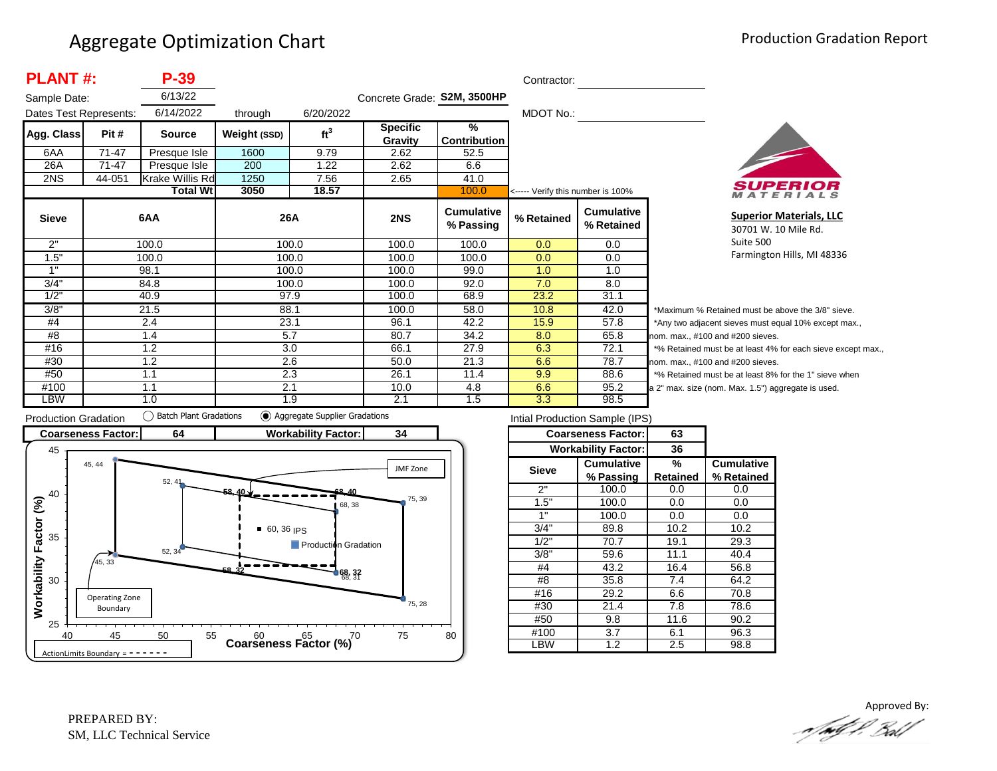| <b>PLANT#:</b><br>$P-39$ |           |                 |              |                 |                             | Contractor:                    |                                   |                                 |       |
|--------------------------|-----------|-----------------|--------------|-----------------|-----------------------------|--------------------------------|-----------------------------------|---------------------------------|-------|
| Sample Date:             |           | 6/13/22         |              |                 | Concrete Grade: S2M, 3500HP |                                |                                   |                                 |       |
| Dates Test Represents:   |           | 6/14/2022       | through      | 6/20/2022       |                             |                                | MDOT No.:                         |                                 |       |
| Agg. Class               | Pit #     | <b>Source</b>   | Weight (SSD) | ft <sup>3</sup> | <b>Specific</b><br>Gravity  | %<br><b>Contribution</b>       |                                   |                                 |       |
| 6AA                      | 71-47     | Presque Isle    | 1600         | 9.79            | 2.62                        | 52.5                           |                                   |                                 |       |
| 26A                      | $71 - 47$ | Presque Isle    | 200          | 1.22            | 2.62                        | 6.6                            |                                   |                                 |       |
| 2NS                      | 44-051    | Krake Willis Rd | 1250         | 7.56            | 2.65                        | 41.0                           |                                   |                                 |       |
|                          |           | <b>Total Wt</b> | 3050         | 18.57           |                             | 100.0                          | <----- Verify this number is 100% |                                 |       |
| <b>Sieve</b>             |           | 6AA             | 26A          |                 | 2NS                         | <b>Cumulative</b><br>% Passing | % Retained                        | <b>Cumulative</b><br>% Retained |       |
| 2"                       |           | 100.0           | 100.0        |                 | 100.0                       | 100.0                          | 0.0                               | 0.0                             |       |
| 1.5"                     |           | 100.0           | 100.0        |                 | 100.0                       | 100.0                          | 0.0                               | 0.0                             |       |
| 1"                       |           | 98.1            | 100.0        |                 | 100.0                       | 99.0                           | 1.0                               | 1.0                             |       |
| 3/4"                     |           | 84.8            | 100.0        |                 | 100.0                       | 92.0                           | 7.0                               | 8.0                             |       |
| 1/2"                     |           | 40.9            | 97.9         |                 | 100.0                       | 68.9                           | 23.2                              | 31.1                            |       |
| 3/8"                     |           | 21.5            | 88.1         |                 | 100.0                       | 58.0                           | 10.8                              | 42.0                            | *Ma   |
| #4                       |           | 2.4             | 23.1         |                 | 96.1                        | 42.2                           | 15.9                              | 57.8                            | *Ar   |
| #8                       |           | 1.4             | 5.7          |                 | 80.7                        | 34.2                           | 8.0                               | 65.8                            | nom   |
| #16                      |           | 1.2             | 3.0          |                 | 66.1                        | 27.9                           | 6.3                               | 72.1                            | $*$ % |
| #30                      |           | 1.2             | 2.6          |                 | 50.0                        | 21.3                           | 6.6                               | 78.7                            | nom   |
| #50                      |           | 1.1             | 2.3          |                 | 26.1                        | 11.4                           | 9.9                               | 88.6                            | $*$ % |
| #100                     |           | 1.1             | 2.1          |                 | 10.0                        | 4.8                            | 6.6                               | 95.2                            | a 2"  |
| LBW                      |           | 1.0             | 1.9          |                 | 2.1                         | 1.5                            | 3.3                               | 98.5                            |       |



**Superior Materials, LLC** 30701 W. 10 Mile Rd. Suite 500 Farmington Hills, MI 48336

aximum % Retained must be above the 3/8" sieve. hy two adjacent sieves must equal 10% except max.,  $max., #100 and #200$  sieves. Retained must be at least 4% for each sieve except max., max., #100 and #200 sieves. Retained must be at least 8% for the 1" sieve when max. size (nom. Max. 1.5") aggregate is used.



| Intial Production Sample (IPS) |                            |          |                   |  |  |  |  |  |
|--------------------------------|----------------------------|----------|-------------------|--|--|--|--|--|
|                                | <b>Coarseness Factor:</b>  | 63       |                   |  |  |  |  |  |
|                                | <b>Workability Factor:</b> | 36       |                   |  |  |  |  |  |
| Sieve                          | <b>Cumulative</b>          | %        | <b>Cumulative</b> |  |  |  |  |  |
|                                | % Passing                  | Retained | % Retained        |  |  |  |  |  |
| 2"                             | 100.0                      | 0.0      | 0.0               |  |  |  |  |  |
| 1.5"                           | 100.0                      | 0.0      | 0.0               |  |  |  |  |  |
| 1"                             | 100.0                      | 0.0      | 0.0               |  |  |  |  |  |
| 3/4"                           | 89.8                       | 10.2     | 10.2              |  |  |  |  |  |
| 1/2"                           | 70.7                       | 19.1     | 29.3              |  |  |  |  |  |
| 3/8"                           | 59.6                       | 11.1     | 40.4              |  |  |  |  |  |
| #4                             | 43.2                       | 16.4     | 56.8              |  |  |  |  |  |
| #8                             | 35.8                       | 7.4      | 64.2              |  |  |  |  |  |
| #16                            | 29.2                       | 6.6      | 70.8              |  |  |  |  |  |
| #30                            | 21.4                       | 7.8      | 78.6              |  |  |  |  |  |
| #50                            | 9.8                        |          | 90.2              |  |  |  |  |  |
| #100                           | 3.7                        |          | 96.3              |  |  |  |  |  |
| <b>BW</b>                      | 1.2                        | 2.5      | 98.8              |  |  |  |  |  |

Approved By:<br>Approved By: